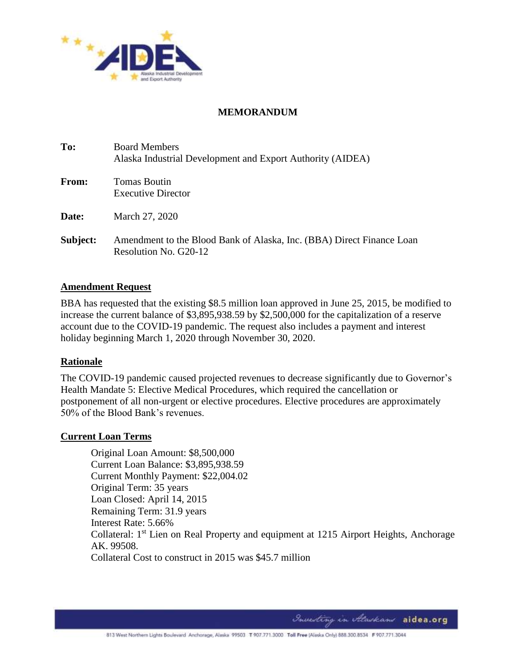

### **MEMORANDUM**

| To:      | <b>Board Members</b><br>Alaska Industrial Development and Export Authority (AIDEA)             |
|----------|------------------------------------------------------------------------------------------------|
| From:    | Tomas Boutin<br><b>Executive Director</b>                                                      |
| Date:    | March 27, 2020                                                                                 |
| Subject: | Amendment to the Blood Bank of Alaska, Inc. (BBA) Direct Finance Loan<br>Resolution No. G20-12 |

#### **Amendment Request**

BBA has requested that the existing \$8.5 million loan approved in June 25, 2015, be modified to increase the current balance of \$3,895,938.59 by \$2,500,000 for the capitalization of a reserve account due to the COVID-19 pandemic. The request also includes a payment and interest holiday beginning March 1, 2020 through November 30, 2020.

#### **Rationale**

The COVID-19 pandemic caused projected revenues to decrease significantly due to Governor's Health Mandate 5: Elective Medical Procedures, which required the cancellation or postponement of all non-urgent or elective procedures. Elective procedures are approximately 50% of the Blood Bank's revenues.

#### **Current Loan Terms**

Original Loan Amount: \$8,500,000 Current Loan Balance: \$3,895,938.59 Current Monthly Payment: \$22,004.02 Original Term: 35 years Loan Closed: April 14, 2015 Remaining Term: 31.9 years Interest Rate: 5.66% Collateral: 1<sup>st</sup> Lien on Real Property and equipment at 1215 Airport Heights, Anchorage AK. 99508. Collateral Cost to construct in 2015 was \$45.7 million

Investing in Alaskans aidea.org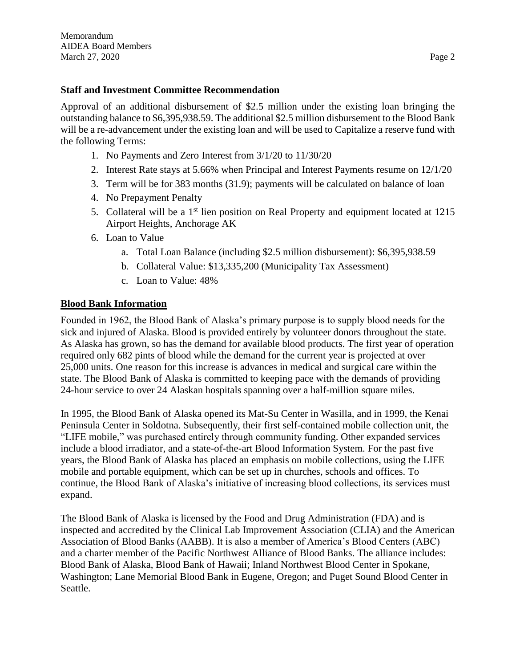#### **Staff and Investment Committee Recommendation**

Approval of an additional disbursement of \$2.5 million under the existing loan bringing the outstanding balance to \$6,395,938.59. The additional \$2.5 million disbursement to the Blood Bank will be a re-advancement under the existing loan and will be used to Capitalize a reserve fund with the following Terms:

- 1. No Payments and Zero Interest from 3/1/20 to 11/30/20
- 2. Interest Rate stays at 5.66% when Principal and Interest Payments resume on 12/1/20
- 3. Term will be for 383 months (31.9); payments will be calculated on balance of loan
- 4. No Prepayment Penalty
- 5. Collateral will be a 1<sup>st</sup> lien position on Real Property and equipment located at 1215 Airport Heights, Anchorage AK
- 6. Loan to Value
	- a. Total Loan Balance (including \$2.5 million disbursement): \$6,395,938.59
	- b. Collateral Value: \$13,335,200 (Municipality Tax Assessment)
	- c. Loan to Value: 48%

#### **Blood Bank Information**

Founded in 1962, the Blood Bank of Alaska's primary purpose is to supply blood needs for the sick and injured of Alaska. Blood is provided entirely by volunteer donors throughout the state. As Alaska has grown, so has the demand for available blood products. The first year of operation required only 682 pints of blood while the demand for the current year is projected at over 25,000 units. One reason for this increase is advances in medical and surgical care within the state. The Blood Bank of Alaska is committed to keeping pace with the demands of providing 24-hour service to over 24 Alaskan hospitals spanning over a half-million square miles.

In 1995, the Blood Bank of Alaska opened its Mat-Su Center in Wasilla, and in 1999, the Kenai Peninsula Center in Soldotna. Subsequently, their first self-contained mobile collection unit, the "LIFE mobile," was purchased entirely through community funding. Other expanded services include a blood irradiator, and a state-of-the-art Blood Information System. For the past five years, the Blood Bank of Alaska has placed an emphasis on mobile collections, using the LIFE mobile and portable equipment, which can be set up in churches, schools and offices. To continue, the Blood Bank of Alaska's initiative of increasing blood collections, its services must expand.

The Blood Bank of Alaska is licensed by the Food and Drug Administration (FDA) and is inspected and accredited by the Clinical Lab Improvement Association (CLIA) and the American Association of Blood Banks (AABB). It is also a member of America's Blood Centers (ABC) and a charter member of the Pacific Northwest Alliance of Blood Banks. The alliance includes: Blood Bank of Alaska, Blood Bank of Hawaii; Inland Northwest Blood Center in Spokane, Washington; Lane Memorial Blood Bank in Eugene, Oregon; and Puget Sound Blood Center in Seattle.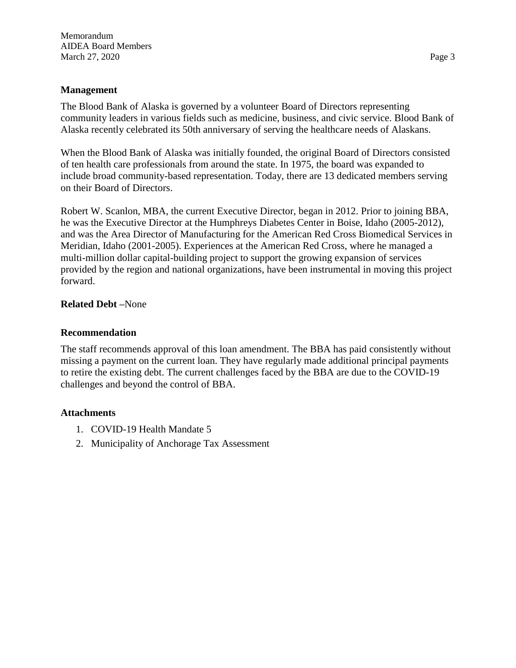#### **Management**

The Blood Bank of Alaska is governed by a volunteer Board of Directors representing community leaders in various fields such as medicine, business, and civic service. Blood Bank of Alaska recently celebrated its 50th anniversary of serving the healthcare needs of Alaskans.

When the Blood Bank of Alaska was initially founded, the original Board of Directors consisted of ten health care professionals from around the state. In 1975, the board was expanded to include broad community-based representation. Today, there are 13 dedicated members serving on their Board of Directors.

Robert W. Scanlon, MBA, the current Executive Director, began in 2012. Prior to joining BBA, he was the Executive Director at the Humphreys Diabetes Center in Boise, Idaho (2005-2012), and was the Area Director of Manufacturing for the American Red Cross Biomedical Services in Meridian, Idaho (2001-2005). Experiences at the American Red Cross, where he managed a multi-million dollar capital-building project to support the growing expansion of services provided by the region and national organizations, have been instrumental in moving this project forward.

#### **Related Debt –**None

#### **Recommendation**

The staff recommends approval of this loan amendment. The BBA has paid consistently without missing a payment on the current loan. They have regularly made additional principal payments to retire the existing debt. The current challenges faced by the BBA are due to the COVID-19 challenges and beyond the control of BBA.

## **Attachments**

- 1. COVID-19 Health Mandate 5
- 2. Municipality of Anchorage Tax Assessment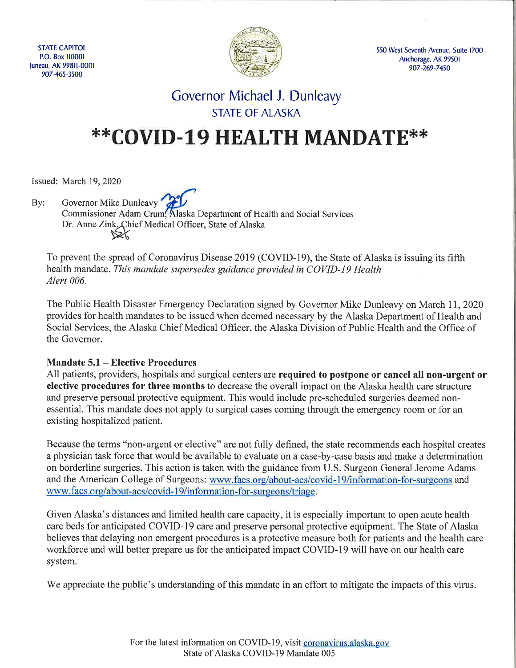**STATE CAPITOL** P.O. Box 110001 Juneau, AK 99811-0001 907-465-3500



550 West Seventh Avenue, Suite 1700 Anchorage, AK 99501 907-269-7450

# Governor Michael J. Dunleavy **STATE OF ALASKA**

# \*\*COVID-19 HEALTH MANDATE\*\*

Issued: March 19, 2020

Governor Mike Dunleavy Bv: Commissioner Adam Crum, Alaska Department of Health and Social Services Dr. Anne Zink, Chief Medical Officer, State of Alaska  $\triangleright\!\!\!\!\times$ 

To prevent the spread of Coronavirus Disease 2019 (COVID-19), the State of Alaska is issuing its fifth health mandate. This mandate supersedes guidance provided in COVID-19 Health Alert 006.

The Public Health Disaster Emergency Declaration signed by Governor Mike Dunleavy on March 11, 2020 provides for health mandates to be issued when deemed necessary by the Alaska Department of Health and Social Services, the Alaska Chief Medical Officer, the Alaska Division of Public Health and the Office of the Governor.

## **Mandate 5.1 – Elective Procedures**

All patients, providers, hospitals and surgical centers are required to postpone or cancel all non-urgent or elective procedures for three months to decrease the overall impact on the Alaska health care structure and preserve personal protective equipment. This would include pre-scheduled surgeries deemed nonessential. This mandate does not apply to surgical cases coming through the emergency room or for an existing hospitalized patient.

Because the terms "non-urgent or elective" are not fully defined, the state recommends each hospital creates a physician task force that would be available to evaluate on a case-by-case basis and make a determination on borderline surgeries. This action is taken with the guidance from U.S. Surgeon General Jerome Adams and the American College of Surgeons: www.facs.org/about-acs/covid-19/information-for-surgeons and www.facs.org/about-acs/covid-19/information-for-surgeons/triage.

Given Alaska's distances and limited health care capacity, it is especially important to open acute health care beds for anticipated COVID-19 care and preserve personal protective equipment. The State of Alaska believes that delaying non emergent procedures is a protective measure both for patients and the health care workforce and will better prepare us for the anticipated impact COVID-19 will have on our health care system.

We appreciate the public's understanding of this mandate in an effort to mitigate the impacts of this virus.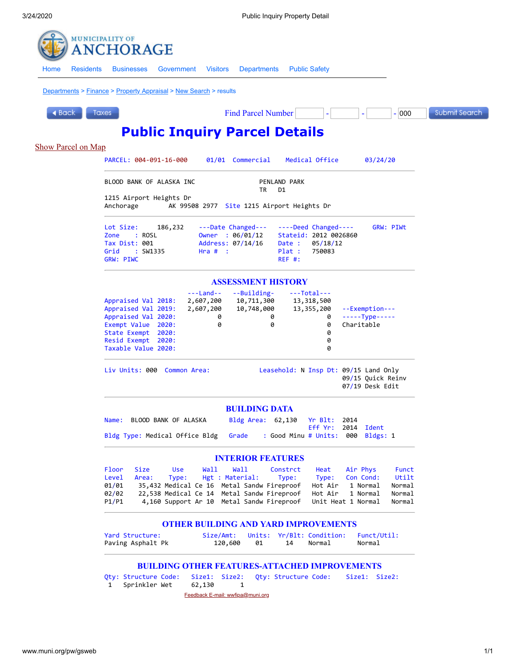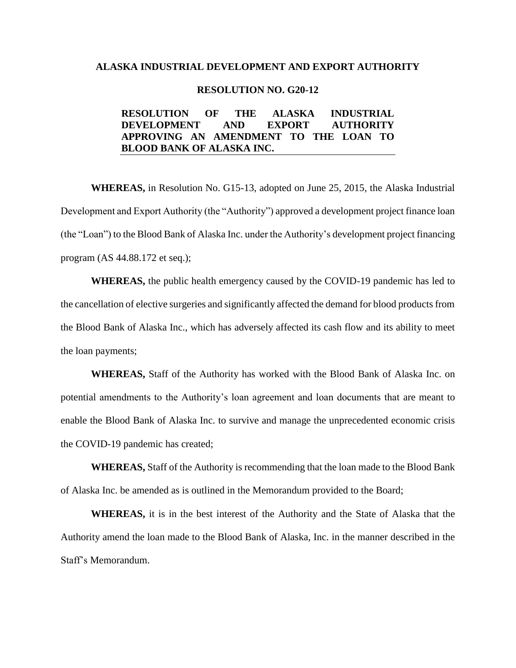#### **ALASKA INDUSTRIAL DEVELOPMENT AND EXPORT AUTHORITY**

#### **RESOLUTION NO. G20-12**

#### **RESOLUTION OF THE ALASKA INDUSTRIAL DEVELOPMENT AND EXPORT AUTHORITY APPROVING AN AMENDMENT TO THE LOAN TO BLOOD BANK OF ALASKA INC.**

**WHEREAS,** in Resolution No. G15-13, adopted on June 25, 2015, the Alaska Industrial Development and Export Authority (the "Authority") approved a development project finance loan (the "Loan") to the Blood Bank of Alaska Inc. under the Authority's development project financing program (AS 44.88.172 et seq.);

**WHEREAS,** the public health emergency caused by the COVID-19 pandemic has led to the cancellation of elective surgeries and significantly affected the demand for blood products from the Blood Bank of Alaska Inc., which has adversely affected its cash flow and its ability to meet the loan payments;

**WHEREAS,** Staff of the Authority has worked with the Blood Bank of Alaska Inc. on potential amendments to the Authority's loan agreement and loan documents that are meant to enable the Blood Bank of Alaska Inc. to survive and manage the unprecedented economic crisis the COVID-19 pandemic has created;

**WHEREAS,** Staff of the Authority is recommending that the loan made to the Blood Bank of Alaska Inc. be amended as is outlined in the Memorandum provided to the Board;

**WHEREAS,** it is in the best interest of the Authority and the State of Alaska that the Authority amend the loan made to the Blood Bank of Alaska, Inc. in the manner described in the Staff's Memorandum.